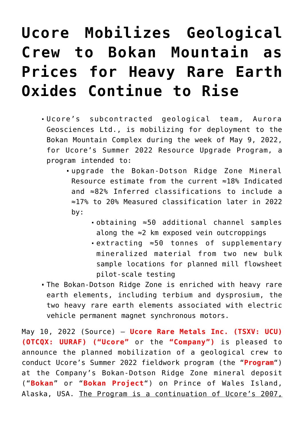# **[Ucore Mobilizes Geological](https://investorintel.com/markets/technology-metals/technology-metals-news/ucore-mobilizes-geological-crew-to-bokan-mountain-as-prices-for-heavy-rare-earth-oxides-continue-to-rise/) [Crew to Bokan Mountain as](https://investorintel.com/markets/technology-metals/technology-metals-news/ucore-mobilizes-geological-crew-to-bokan-mountain-as-prices-for-heavy-rare-earth-oxides-continue-to-rise/) [Prices for Heavy Rare Earth](https://investorintel.com/markets/technology-metals/technology-metals-news/ucore-mobilizes-geological-crew-to-bokan-mountain-as-prices-for-heavy-rare-earth-oxides-continue-to-rise/) [Oxides Continue to Rise](https://investorintel.com/markets/technology-metals/technology-metals-news/ucore-mobilizes-geological-crew-to-bokan-mountain-as-prices-for-heavy-rare-earth-oxides-continue-to-rise/)**

- Ucore's subcontracted geological team, Aurora Geosciences Ltd., is mobilizing for deployment to the Bokan Mountain Complex during the week of May 9, 2022, for Ucore's Summer 2022 Resource Upgrade Program, a program intended to:
	- upgrade the Bokan-Dotson Ridge Zone Mineral Resource estimate from the current ≈18% Indicated and ≈82% Inferred classifications to include a ≈17% to 20% Measured classification later in 2022 by:
		- obtaining ≈50 additional channel samples along the ≈2 km exposed vein outcroppings
		- extracting ≈50 tonnes of supplementary mineralized material from two new bulk sample locations for planned mill flowsheet pilot-scale testing
- The Bokan-Dotson Ridge Zone is enriched with heavy rare earth elements, including terbium and dysprosium, the two heavy rare earth elements associated with electric vehicle permanent magnet synchronous motors.

May 10, 2022 ([Source](https://www.newsfilecorp.com/release/123292/Ucore-Mobilizes-Geological-Crew-to-Bokan-Mountain-as-Prices-for-Heavy-Rare-Earth-Oxides-Continue-to-Rise)) – **[Ucore Rare Metals Inc.](https://www.newsfilecorp.com/redirect/mowgGSev2g) (TSXV: UCU) (OTCQX: UURAF) ("Ucore"** or the **"Company")** is pleased to announce the planned mobilization of a geological crew to conduct Ucore's Summer 2022 fieldwork program (the "**Program**") at the Company's Bokan-Dotson Ridge Zone mineral deposit ("**Bokan**" or "**Bokan Project**") on Prince of Wales Island, Alaska, USA. The Program is a continuation of Ucore's 2007,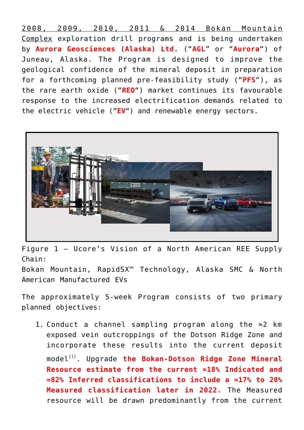2008, 2009, 2010, 2011 & 2014 Bokan Mountain Complex exploration drill programs and is being undertaken by **[Aurora Geosciences \(Alaska\) Ltd.](https://www.newsfilecorp.com/redirect/kz2PaT14eB)** ("**AGL**" or "**Aurora**") of Juneau, Alaska. The Program is designed to improve the geological confidence of the mineral deposit in preparation for a forthcoming planned pre-feasibility study ("**PFS**"), as the rare earth oxide ("**REO**") market continues its favourable response to the increased electrification demands related to the electric vehicle ("**EV**") and renewable energy sectors.



Figure 1 – Ucore's Vision of a North American REE Supply Chain:

Bokan Mountain, RapidSX™ Technology, Alaska SMC & North American Manufactured EVs

The approximately 5-week Program consists of two primary planned objectives:

1. Conduct a channel sampling program along the  $\approx 2$  km exposed vein outcroppings of the Dotson Ridge Zone and incorporate these results into the current deposit model<sup>[\[1\]](https://www.newsfilecorp.com/release/123292/Ucore-Mobilizes-Geological-Crew-to-Bokan-Mountain-as-Prices-for-Heavy-Rare-Earth-Oxides-Continue-to-Rise#_edn1)</sup>. Upgrade the Bokan-Dotson Ridge Zone Mineral **Resource estimate from the current ≈18% Indicated and ≈82% Inferred classifications to include a ≈17% to 20% Measured classification later in 2022.** The Measured resource will be drawn predominantly from the current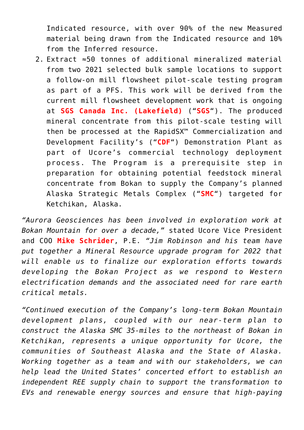Indicated resource, with over 90% of the new Measured material being drawn from the Indicated resource and 10% from the Inferred resource.

2. Extract ≈50 tonnes of additional mineralized material from [two 2021 selected bulk sample locations](https://www.newsfilecorp.com/redirect/BNVvWt01xw) to support a follow-on mill flowsheet pilot-scale testing program as part of a PFS. This work will be derived from the current mill flowsheet development work that is ongoing at **[SGS Canada Inc. \(Lakefield\)](https://www.newsfilecorp.com/redirect/5pZR1IANEK)** ("**SGS**"). The produced mineral concentrate from this pilot-scale testing will then be processed at the RapidSX™ Commercialization and Development Facility's ("**CDF**") Demonstration Plant as part of Ucore's commercial technology deployment process. The Program is a prerequisite step in preparation for obtaining potential feedstock mineral concentrate from Bokan to supply the Company's planned Alaska Strategic Metals Complex ("**SMC**") targeted for Ketchikan, Alaska.

*"Aurora Geosciences has been involved in exploration work at Bokan Mountain for over a decade,"* stated Ucore Vice President and COO **Mike Schrider**, P.E. *"Jim Robinson and his team have put together a Mineral Resource upgrade program for 2022 that will enable us to finalize our exploration efforts towards developing the Bokan Project as we respond to Western electrification demands and the associated need for rare earth critical metals.*

*"Continued execution of the Company's long-term Bokan Mountain development plans, coupled with our near-term plan to construct the Alaska SMC 35-miles to the northeast of Bokan in Ketchikan, represents a unique opportunity for Ucore, the communities of Southeast Alaska and the State of Alaska. Working together as a team and with our stakeholders, we can help lead the United States' concerted effort to establish an independent REE supply chain to support the transformation to EVs and renewable energy sources and ensure that high-paying*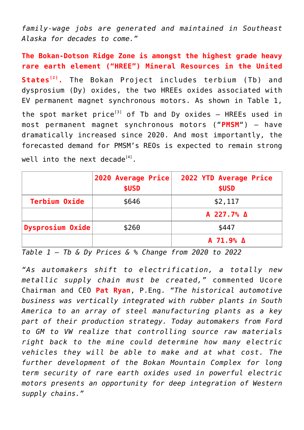*family-wage jobs are generated and maintained in Southeast Alaska for decades to come."*

**The Bokan-Dotson Ridge Zone is amongst the highest grade heavy rare earth element ("HREE") Mineral Resources in the United States[\[2\]](https://www.newsfilecorp.com/release/123292/Ucore-Mobilizes-Geological-Crew-to-Bokan-Mountain-as-Prices-for-Heavy-Rare-Earth-Oxides-Continue-to-Rise#_edn2) .** The Bokan Project includes terbium (Tb) and dysprosium (Dy) oxides, the two HREEs oxides associated with EV permanent magnet synchronous motors. As shown in Table 1, the spot market price<sup>[\[3\]](https://www.newsfilecorp.com/release/123292/Ucore-Mobilizes-Geological-Crew-to-Bokan-Mountain-as-Prices-for-Heavy-Rare-Earth-Oxides-Continue-to-Rise#_edn3)</sup> of Tb and Dy oxides  $-$  HREEs used in most permanent magnet synchronous motors ("**PMSM**") – have dramatically increased since 2020. And most importantly, the forecasted demand for PMSM's REOs is expected to remain strong well into the next decade $^{[4]}$  $^{[4]}$  $^{[4]}$ .

|                      | 2020 Average Price<br>\$USD | 2022 YTD Average Price<br>\$USD |
|----------------------|-----------------------------|---------------------------------|
| <b>Terbium Oxide</b> | \$646                       | \$2,117                         |
|                      |                             | A 227.7% A                      |
| Dysprosium Oxide     | \$260                       | \$447                           |
|                      |                             | A 71.9% A                       |

*Table 1 – Tb & Dy Prices & % Change from 2020 to 2022*

*"As automakers shift to electrification, a totally new metallic supply chain must be created,"* commented Ucore Chairman and CEO **Pat Ryan**, P.Eng. *"The historical automotive business was vertically integrated with rubber plants in South America to an array of steel manufacturing plants as a key part of their production strategy. Today automakers from Ford to GM to VW realize that controlling source raw materials right back to the mine could determine how many electric vehicles they will be able to make and at what cost. The further development of the Bokan Mountain Complex for long term security of rare earth oxides used in powerful electric motors presents an opportunity for deep integration of Western supply chains."*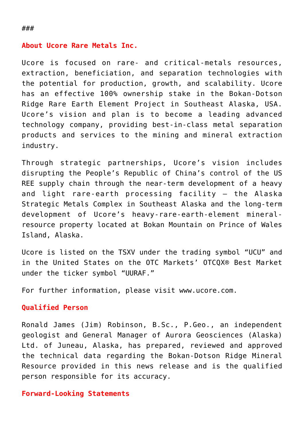## **About Ucore Rare Metals Inc.**

Ucore is focused on rare- and critical-metals resources, extraction, beneficiation, and separation technologies with the potential for production, growth, and scalability. Ucore has an effective 100% ownership stake in the Bokan-Dotson Ridge Rare Earth Element Project in Southeast Alaska, USA. Ucore's vision and plan is to become a leading advanced technology company, providing best-in-class metal separation products and services to the mining and mineral extraction industry.

Through strategic partnerships, Ucore's vision includes disrupting the People's Republic of China's control of the US REE supply chain through the near-term development of a heavy and light rare-earth processing facility – the Alaska Strategic Metals Complex in Southeast Alaska and the long-term development of Ucore's heavy-rare-earth-element mineralresource property located at Bokan Mountain on Prince of Wales Island, Alaska.

Ucore is listed on the TSXV under the trading symbol "[UCU"](https://www.newsfilecorp.com/redirect/L7BO8FN3q8) and in the United States on the OTC Markets' OTCQX® Best Market under the ticker symbol "[UURAF](https://www.newsfilecorp.com/redirect/VmKn8CxmJV)."

For further information, please visit [www.ucore.com.](https://www.newsfilecorp.com/redirect/zWZVqC7z23)

### **Qualified Person**

Ronald James (Jim) Robinson, B.Sc., P.Geo., an independent geologist and General Manager of Aurora Geosciences (Alaska) Ltd. of Juneau, Alaska, has prepared, reviewed and approved the technical data regarding the Bokan-Dotson Ridge Mineral Resource provided in this news release and is the qualified person responsible for its accuracy.

### **Forward-Looking Statements**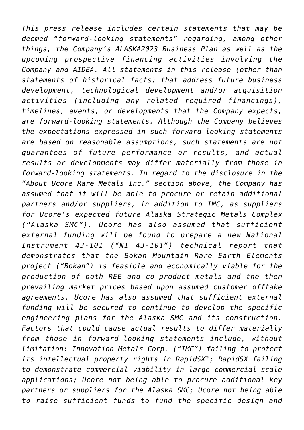*This press release includes certain statements that may be deemed "forward-looking statements" regarding, among other things, the Company's ALASKA2023 Business Plan as well as the upcoming prospective financing activities involving the Company and AIDEA. All statements in this release (other than statements of historical facts) that address future business development, technological development and/or acquisition activities (including any related required financings), timelines, events, or developments that the Company expects, are forward-looking statements. Although the Company believes the expectations expressed in such forward-looking statements are based on reasonable assumptions, such statements are not guarantees of future performance or results, and actual results or developments may differ materially from those in forward-looking statements. In regard to the disclosure in the "About Ucore Rare Metals Inc." section above, the Company has assumed that it will be able to procure or retain additional partners and/or suppliers, in addition to IMC, as suppliers for Ucore's expected future Alaska Strategic Metals Complex ("Alaska SMC"). Ucore has also assumed that sufficient external funding will be found to prepare a new National Instrument 43-101 ("NI 43-101") technical report that demonstrates that the Bokan Mountain Rare Earth Elements project ("Bokan") is feasible and economically viable for the production of both REE and co-product metals and the then prevailing market prices based upon assumed customer offtake agreements. Ucore has also assumed that sufficient external funding will be secured to continue to develop the specific engineering plans for the Alaska SMC and its construction. Factors that could cause actual results to differ materially from those in forward-looking statements include, without limitation: Innovation Metals Corp. ("IMC") failing to protect its intellectual property rights in RapidSX™; RapidSX failing to demonstrate commercial viability in large commercial-scale applications; Ucore not being able to procure additional key partners or suppliers for the Alaska SMC; Ucore not being able to raise sufficient funds to fund the specific design and*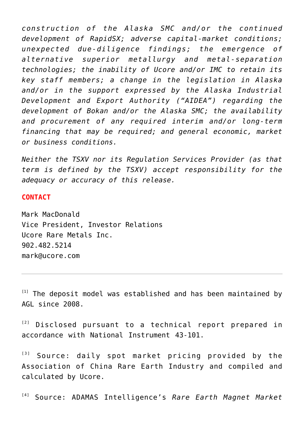*construction of the Alaska SMC and/or the continued development of RapidSX; adverse capital-market conditions; unexpected due-diligence findings; the emergence of alternative superior metallurgy and metal-separation technologies; the inability of Ucore and/or IMC to retain its key staff members; a change in the legislation in Alaska and/or in the support expressed by the Alaska Industrial Development and Export Authority ("AIDEA") regarding the development of Bokan and/or the Alaska SMC; the availability and procurement of any required interim and/or long-term financing that may be required; and general economic, market or business conditions.*

*Neither the TSXV nor its Regulation Services Provider (as that term is defined by the TSXV) accept responsibility for the adequacy or accuracy of this release.*

#### **CONTACT**

Mark MacDonald Vice President, Investor Relations Ucore Rare Metals Inc. 902.482.5214 [mark@ucore.com](mailto:mark@ucore.com)

 $[1]$  The deposit model was established and has been maintained by AGL since 2008.

 $[2]$  Disclosed pursuant to a technical report prepared in accordance with National Instrument 43-101.

[\[3\]](https://www.newsfilecorp.com/release/123292/Ucore-Mobilizes-Geological-Crew-to-Bokan-Mountain-as-Prices-for-Heavy-Rare-Earth-Oxides-Continue-to-Rise#_ednref3) Source: daily spot market pricing provided by the Association of China Rare Earth Industry and compiled and calculated by Ucore.

[\[4\]](https://www.newsfilecorp.com/release/123292/Ucore-Mobilizes-Geological-Crew-to-Bokan-Mountain-as-Prices-for-Heavy-Rare-Earth-Oxides-Continue-to-Rise#_ednref4) Source: ADAMAS Intelligence's *Rare Earth Magnet Market*